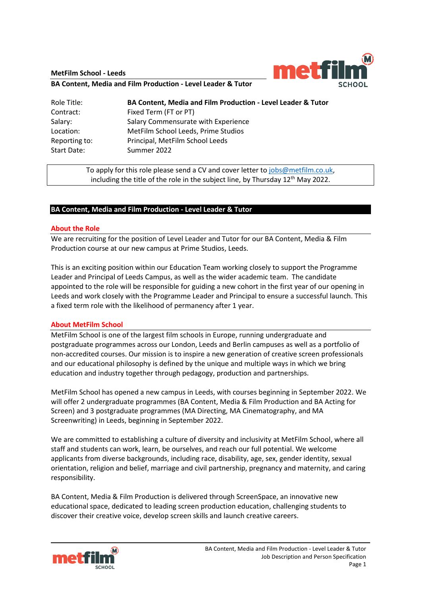**MetFilm School - Leeds**



**BA Content, Media and Film Production - Level Leader & Tutor**

| Role Title:   | <b>BA Content, Media and Film Production - Level Leader &amp; Tutor</b> |
|---------------|-------------------------------------------------------------------------|
| Contract:     | Fixed Term (FT or PT)                                                   |
| Salary:       | Salary Commensurate with Experience                                     |
| Location:     | MetFilm School Leeds, Prime Studios                                     |
| Reporting to: | Principal, MetFilm School Leeds                                         |
| Start Date:   | Summer 2022                                                             |

To apply for this role please send a CV and cover letter to [jobs@metfilm.co.uk,](mailto:jobs@metfilm.co.uk) including the title of the role in the subject line, by Thursday  $12<sup>th</sup>$  May 2022.

### **BA Content, Media and Film Production - Level Leader & Tutor**

### **About the Role**

We are recruiting for the position of Level Leader and Tutor for our BA Content, Media & Film Production course at our new campus at Prime Studios, Leeds.

This is an exciting position within our Education Team working closely to support the Programme Leader and Principal of Leeds Campus, as well as the wider academic team. The candidate appointed to the role will be responsible for guiding a new cohort in the first year of our opening in Leeds and work closely with the Programme Leader and Principal to ensure a successful launch. This a fixed term role with the likelihood of permanency after 1 year.

### **About MetFilm School**

MetFilm School is one of the largest film schools in Europe, running undergraduate and postgraduate programmes across our London, Leeds and Berlin campuses as well as a portfolio of non-accredited courses. Our mission is to inspire a new generation of creative screen professionals and our educational philosophy is defined by the unique and multiple ways in which we bring education and industry together through pedagogy, production and partnerships.

MetFilm School has opened a new campus in Leeds, with courses beginning in September 2022. We will offer 2 undergraduate programmes (BA Content, Media & Film Production and BA Acting for Screen) and 3 postgraduate programmes (MA Directing, MA Cinematography, and MA Screenwriting) in Leeds, beginning in September 2022.

We are committed to establishing a culture of diversity and inclusivity at MetFilm School, where all staff and students can work, learn, be ourselves, and reach our full potential. We welcome applicants from diverse backgrounds, including race, disability, age, sex, gender identity, sexual orientation, religion and belief, marriage and civil partnership, pregnancy and maternity, and caring responsibility.

BA Content, Media & Film Production is delivered through ScreenSpace, an innovative new educational space, dedicated to leading screen production education, challenging students to discover their creative voice, develop screen skills and launch creative careers.

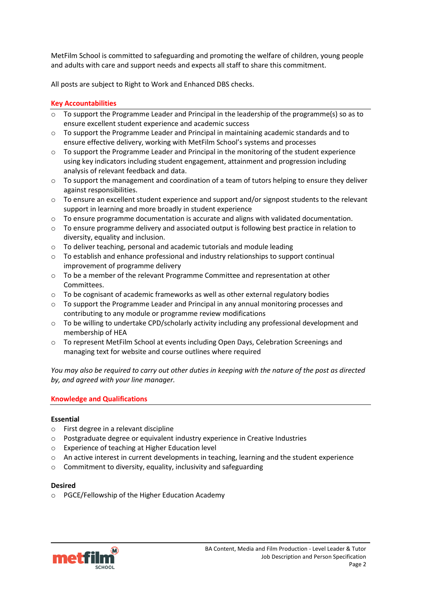MetFilm School is committed to safeguarding and promoting the welfare of children, young people and adults with care and support needs and expects all staff to share this commitment.

All posts are subject to Right to Work and Enhanced DBS checks.

# **Key Accountabilities**

- $\circ$  To support the Programme Leader and Principal in the leadership of the programme(s) so as to ensure excellent student experience and academic success
- $\circ$  To support the Programme Leader and Principal in maintaining academic standards and to ensure effective delivery, working with MetFilm School's systems and processes
- $\circ$  To support the Programme Leader and Principal in the monitoring of the student experience using key indicators including student engagement, attainment and progression including analysis of relevant feedback and data.
- $\circ$  To support the management and coordination of a team of tutors helping to ensure they deliver against responsibilities.
- o To ensure an excellent student experience and support and/or signpost students to the relevant support in learning and more broadly in student experience
- o To ensure programme documentation is accurate and aligns with validated documentation.
- $\circ$  To ensure programme delivery and associated output is following best practice in relation to diversity, equality and inclusion.
- o To deliver teaching, personal and academic tutorials and module leading
- o To establish and enhance professional and industry relationships to support continual improvement of programme delivery
- $\circ$  To be a member of the relevant Programme Committee and representation at other Committees.
- $\circ$  To be cognisant of academic frameworks as well as other external regulatory bodies
- o To support the Programme Leader and Principal in any annual monitoring processes and contributing to any module or programme review modifications
- $\circ$  To be willing to undertake CPD/scholarly activity including any professional development and membership of HEA
- o To represent MetFilm School at events including Open Days, Celebration Screenings and managing text for website and course outlines where required

*You may also be required to carry out other duties in keeping with the nature of the post as directed by, and agreed with your line manager.* 

# **Knowledge and Qualifications**

# **Essential**

- o First degree in a relevant discipline
- o Postgraduate degree or equivalent industry experience in Creative Industries
- o Experience of teaching at Higher Education level
- o An active interest in current developments in teaching, learning and the student experience
- o Commitment to diversity, equality, inclusivity and safeguarding

### **Desired**

o PGCE/Fellowship of the Higher Education Academy